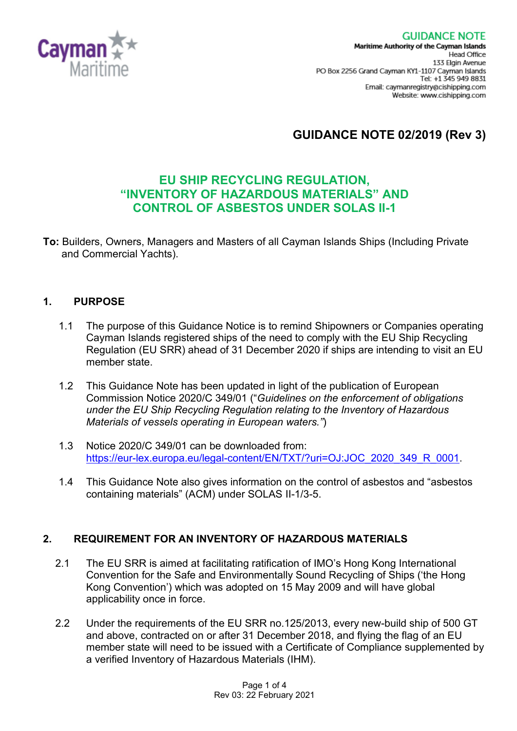

# **GUIDANCE NOTE 02/2019 (Rev 3)**

# **EU SHIP RECYCLING REGULATION, "INVENTORY OF HAZARDOUS MATERIALS" AND CONTROL OF ASBESTOS UNDER SOLAS II-1**

**To:** Builders, Owners, Managers and Masters of all Cayman Islands Ships (Including Private and Commercial Yachts).

#### **1. PURPOSE**

- 1.1 The purpose of this Guidance Notice is to remind Shipowners or Companies operating Cayman Islands registered ships of the need to comply with the EU Ship Recycling Regulation (EU SRR) ahead of 31 December 2020 if ships are intending to visit an EU member state.
- 1.2 This Guidance Note has been updated in light of the publication of European Commission Notice 2020/C 349/01 ("*Guidelines on the enforcement of obligations under the EU Ship Recycling Regulation relating to the Inventory of Hazardous Materials of vessels operating in European waters."*)
- 1.3 Notice 2020/C 349/01 can be downloaded from: [https://eur-lex.europa.eu/legal-content/EN/TXT/?uri=OJ:JOC\\_2020\\_349\\_R\\_0001.](https://eur-lex.europa.eu/legal-content/EN/TXT/?uri=OJ:JOC_2020_349_R_0001)
- 1.4 This Guidance Note also gives information on the control of asbestos and "asbestos containing materials" (ACM) under SOLAS II-1/3-5.

#### **2. REQUIREMENT FOR AN INVENTORY OF HAZARDOUS MATERIALS**

- 2.1 The EU SRR is aimed at facilitating ratification of IMO's Hong Kong International Convention for the Safe and Environmentally Sound Recycling of Ships ('the Hong Kong Convention') which was adopted on 15 May 2009 and will have global applicability once in force.
- 2.2 Under the requirements of the EU SRR no.125/2013, every new-build ship of 500 GT and above, contracted on or after 31 December 2018, and flying the flag of an EU member state will need to be issued with a Certificate of Compliance supplemented by a verified Inventory of Hazardous Materials (IHM).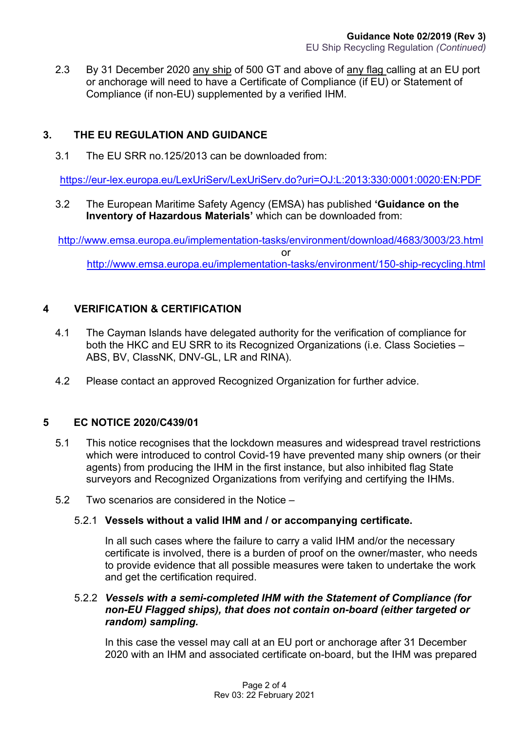2.3 By 31 December 2020 any ship of 500 GT and above of any flag calling at an EU port or anchorage will need to have a Certificate of Compliance (if EU) or Statement of Compliance (if non-EU) supplemented by a verified IHM.

## **3. THE EU REGULATION AND GUIDANCE**

3.1 The EU SRR no.125/2013 can be downloaded from:

<https://eur-lex.europa.eu/LexUriServ/LexUriServ.do?uri=OJ:L:2013:330:0001:0020:EN:PDF>

3.2 The European Maritime Safety Agency (EMSA) has published **'Guidance on the Inventory of Hazardous Materials'** which can be downloaded from:

<http://www.emsa.europa.eu/implementation-tasks/environment/download/4683/3003/23.html> or <http://www.emsa.europa.eu/implementation-tasks/environment/150-ship-recycling.html>

## **4 VERIFICATION & CERTIFICATION**

- 4.1 The Cayman Islands have delegated authority for the verification of compliance for both the HKC and EU SRR to its Recognized Organizations (i.e. Class Societies – ABS, BV, ClassNK, DNV-GL, LR and RINA).
- 4.2 Please contact an approved Recognized Organization for further advice.

#### **5 EC NOTICE 2020/C439/01**

- 5.1 This notice recognises that the lockdown measures and widespread travel restrictions which were introduced to control Covid-19 have prevented many ship owners (or their agents) from producing the IHM in the first instance, but also inhibited flag State surveyors and Recognized Organizations from verifying and certifying the IHMs.
- 5.2 Two scenarios are considered in the Notice –

#### 5.2.1 **Vessels without a valid IHM and / or accompanying certificate.**

In all such cases where the failure to carry a valid IHM and/or the necessary certificate is involved, there is a burden of proof on the owner/master, who needs to provide evidence that all possible measures were taken to undertake the work and get the certification required.

#### 5.2.2 *Vessels with a semi-completed IHM with the Statement of Compliance (for non-EU Flagged ships), that does not contain on-board (either targeted or random) sampling.*

In this case the vessel may call at an EU port or anchorage after 31 December 2020 with an IHM and associated certificate on-board, but the IHM was prepared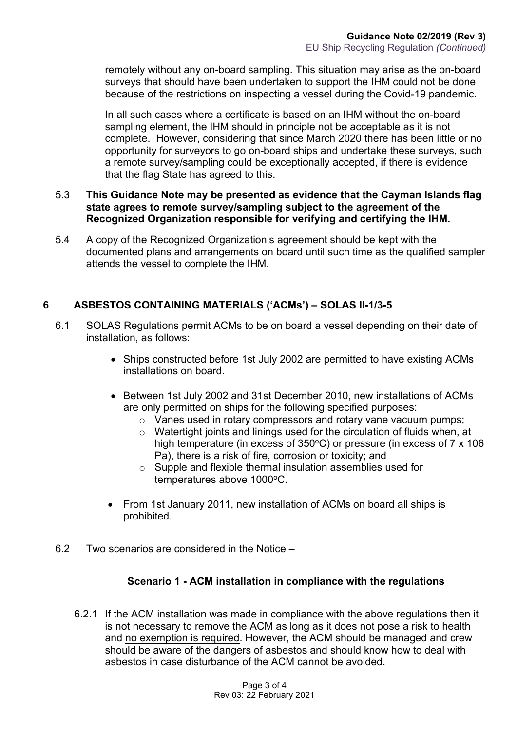remotely without any on-board sampling. This situation may arise as the on-board surveys that should have been undertaken to support the IHM could not be done because of the restrictions on inspecting a vessel during the Covid-19 pandemic.

In all such cases where a certificate is based on an IHM without the on-board sampling element, the IHM should in principle not be acceptable as it is not complete. However, considering that since March 2020 there has been little or no opportunity for surveyors to go on-board ships and undertake these surveys, such a remote survey/sampling could be exceptionally accepted, if there is evidence that the flag State has agreed to this.

#### 5.3 **This Guidance Note may be presented as evidence that the Cayman Islands flag state agrees to remote survey/sampling subject to the agreement of the Recognized Organization responsible for verifying and certifying the IHM.**

5.4 A copy of the Recognized Organization's agreement should be kept with the documented plans and arrangements on board until such time as the qualified sampler attends the vessel to complete the IHM.

## **6 ASBESTOS CONTAINING MATERIALS ('ACMs') – SOLAS II-1/3-5**

- 6.1 SOLAS Regulations permit ACMs to be on board a vessel depending on their date of installation, as follows:
	- Ships constructed before 1st July 2002 are permitted to have existing ACMs installations on board.
	- Between 1st July 2002 and 31st December 2010, new installations of ACMs are only permitted on ships for the following specified purposes:
		- $\circ$  Vanes used in rotary compressors and rotary vane vacuum pumps;
		- $\circ$  Watertight joints and linings used for the circulation of fluids when, at high temperature (in excess of  $350^{\circ}$ C) or pressure (in excess of 7 x 106 Pa), there is a risk of fire, corrosion or toxicity; and
		- $\circ$  Supple and flexible thermal insulation assemblies used for temperatures above 1000°C.
	- From 1st January 2011, new installation of ACMs on board all ships is prohibited.
- 6.2 Two scenarios are considered in the Notice –

#### **Scenario 1 - ACM installation in compliance with the regulations**

6.2.1 If the ACM installation was made in compliance with the above regulations then it is not necessary to remove the ACM as long as it does not pose a risk to health and no exemption is required. However, the ACM should be managed and crew should be aware of the dangers of asbestos and should know how to deal with asbestos in case disturbance of the ACM cannot be avoided.